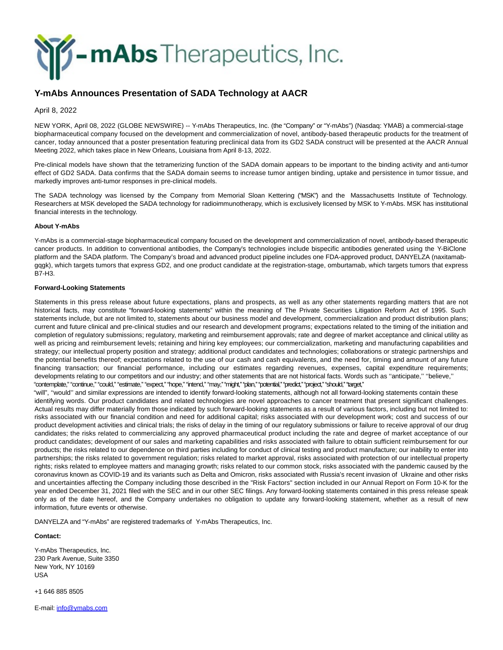

## **Y-mAbs Announces Presentation of SADA Technology at AACR**

April 8, 2022

NEW YORK, April 08, 2022 (GLOBE NEWSWIRE) -- Y-mAbs Therapeutics, Inc. (the "Company" or "Y-mAbs") (Nasdaq: YMAB) a commercial-stage biopharmaceutical company focused on the development and commercialization of novel, antibody-based therapeutic products for the treatment of cancer, today announced that a poster presentation featuring preclinical data from its GD2 SADA construct will be presented at the AACR Annual Meeting 2022, which takes place in New Orleans, Louisiana from April 8-13, 2022.

Pre-clinical models have shown that the tetramerizing function of the SADA domain appears to be important to the binding activity and anti-tumor effect of GD2 SADA. Data confirms that the SADA domain seems to increase tumor antigen binding, uptake and persistence in tumor tissue, and markedly improves anti-tumor responses in pre-clinical models.

The SADA technology was licensed by the Company from Memorial Sloan Kettering ("MSK") and the Massachusetts Institute of Technology. Researchers at MSK developed the SADA technology for radioimmunotherapy, which is exclusively licensed by MSK to Y-mAbs. MSK has institutional financial interests in the technology.

## **About Y-mAbs**

Y-mAbs is a commercial-stage biopharmaceutical company focused on the development and commercialization of novel, antibody-based therapeutic cancer products. In addition to conventional antibodies, the Company's technologies include bispecific antibodies generated using the Y-BiClone platform and the SADA platform. The Company's broad and advanced product pipeline includes one FDA-approved product, DANYELZA (naxitamabgqgk), which targets tumors that express GD2, and one product candidate at the registration-stage, omburtamab, which targets tumors that express B7-H3.

## **Forward-Looking Statements**

Statements in this press release about future expectations, plans and prospects, as well as any other statements regarding matters that are not historical facts, may constitute "forward-looking statements" within the meaning of The Private Securities Litigation Reform Act of 1995. Such statements include, but are not limited to, statements about our business model and development, commercialization and product distribution plans; current and future clinical and pre-clinical studies and our research and development programs; expectations related to the timing of the initiation and completion of regulatory submissions; regulatory, marketing and reimbursement approvals; rate and degree of market acceptance and clinical utility as well as pricing and reimbursement levels; retaining and hiring key employees; our commercialization, marketing and manufacturing capabilities and strategy; our intellectual property position and strategy; additional product candidates and technologies; collaborations or strategic partnerships and the potential benefits thereof; expectations related to the use of our cash and cash equivalents, and the need for, timing and amount of any future financing transaction; our financial performance, including our estimates regarding revenues, expenses, capital expenditure requirements; developments relating to our competitors and our industry; and other statements that are not historical facts. Words such as ''anticipate,'' ''believe,'' "contemplate," "continue," "could," "estimate," "expect," "hope," "intend," "may," "might," "plan," "potential," "predict," "project," "should," "target,"

"will", ''would'' and similar expressions are intended to identify forward-looking statements, although not all forward-looking statements contain these identifying words. Our product candidates and related technologies are novel approaches to cancer treatment that present significant challenges. Actual results may differ materially from those indicated by such forward-looking statements as a result of various factors, including but not limited to: risks associated with our financial condition and need for additional capital; risks associated with our development work; cost and success of our product development activities and clinical trials; the risks of delay in the timing of our regulatory submissions or failure to receive approval of our drug candidates; the risks related to commercializing any approved pharmaceutical product including the rate and degree of market acceptance of our product candidates; development of our sales and marketing capabilities and risks associated with failure to obtain sufficient reimbursement for our products; the risks related to our dependence on third parties including for conduct of clinical testing and product manufacture; our inability to enter into partnerships; the risks related to government regulation; risks related to market approval, risks associated with protection of our intellectual property rights; risks related to employee matters and managing growth; risks related to our common stock, risks associated with the pandemic caused by the coronavirus known as COVID-19 and its variants such as Delta and Omicron, risks associated with Russia's recent invasion of Ukraine and other risks and uncertainties affecting the Company including those described in the "Risk Factors" section included in our Annual Report on Form 10-K for the year ended December 31, 2021 filed with the SEC and in our other SEC filings. Any forward-looking statements contained in this press release speak only as of the date hereof, and the Company undertakes no obligation to update any forward-looking statement, whether as a result of new information, future events or otherwise.

DANYELZA and "Y-mAbs" are registered trademarks of Y-mAbs Therapeutics, Inc.

## **Contact:**

Y-mAbs Therapeutics, Inc. 230 Park Avenue, Suite 3350 New York, NY 10169 USA

+1 646 885 8505

E-mail: [info@ymabs.com](mailto:info@ymabs.com)